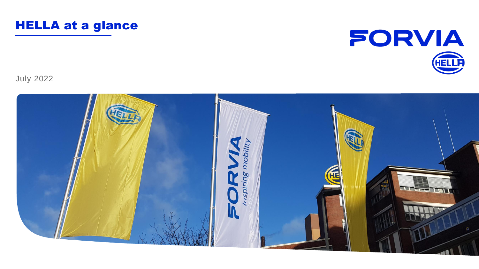



July 2022

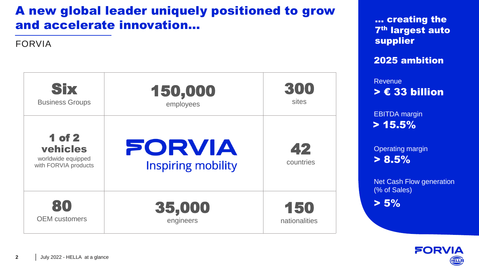# A new global leader uniquely positioned to grow and accelerate innovation…

FORVIA

| <b>Six</b>                                                              | 150,000                             | 300             |
|-------------------------------------------------------------------------|-------------------------------------|-----------------|
| <b>Business Groups</b>                                                  | employees                           | sites           |
| <b>1 of 2</b><br>vehicles<br>worldwide equipped<br>with FORVIA products | FORVIA<br><b>Inspiring mobility</b> | 42<br>countries |
| 80                                                                      | 35,000                              | 150             |
| <b>OEM</b> customers                                                    | engineers                           | nationalities   |

… creating the 7th largest auto supplier

2025 ambition

> € 33 billion Revenue

 $> 15.5\%$ EBITDA margin

 $> 8.5\%$ Operating margin

Net Cash Flow generation (% of Sales)

 $> 5\%$ 

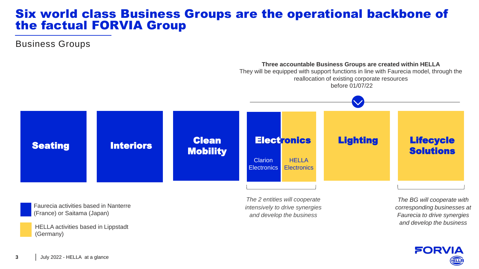### Six world class Business Groups are the operational backbone of the factual FORVIA Group

Business Groups



Faurecia activities based in Nanterre (France) or Saitama (Japan)

HELLA activities based in Lippstadt (Germany)

*The 2 entities will cooperate intensively to drive synergies and develop the business*

*The BG will cooperate with corresponding businesses at Faurecia to drive synergies and develop the business* 

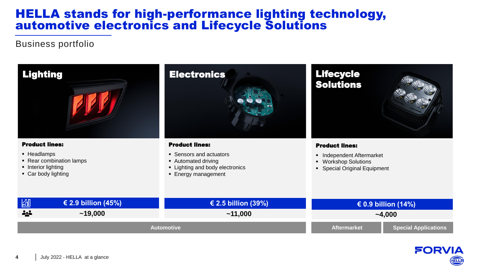### HELLA stands for high-performance lighting technology, automotive electronics and Lifecycle Solutions

#### Business portfolio



- Rear combination lamps
- **•** Interior lighting
- Car body lighting

■ Automated driving

- **Example 1** Lighting and body electronics
- **Energy management**

#### Lifecycle Solutions

#### Product lines:

- Independent Aftermarket
- Workshop Solutions
- Special Original Equipment

| 岡                  | € 2.9 billion (45%) | € 2.5 billion (39%) | € 0.9 billion (14%) |                             |
|--------------------|---------------------|---------------------|---------------------|-----------------------------|
| <b><u> 222</u></b> | ~19,000             | ~11,000             | $-4,000$            |                             |
| <b>Automotive</b>  |                     |                     | <b>Aftermarket</b>  | <b>Special Applications</b> |

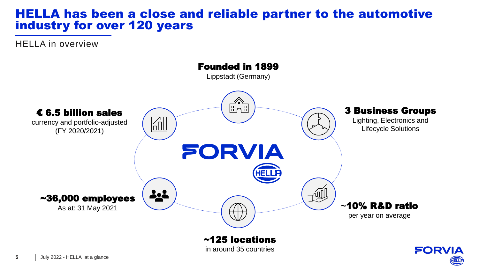### HELLA has been a close and reliable partner to the automotive industry for over 120 years

HELLA in overview



in around 35 countries

**FORVIA**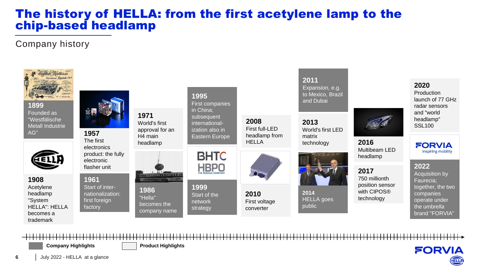### The history of HELLA: from the first acetylene lamp to the chip-based headlamp

### Company history



**Company Highlights Product Highlights** 

**FORVIA** 

**6**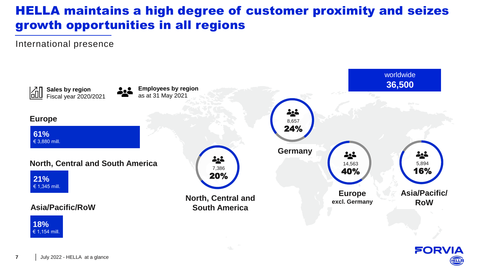# HELLA maintains a high degree of customer proximity and seizes growth opportunities in all regions

International presence



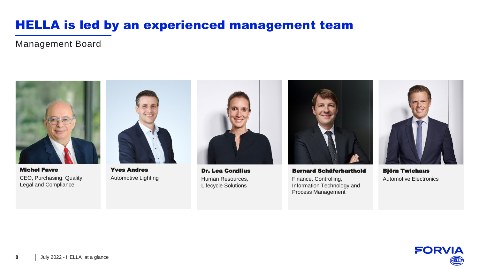# HELLA is led by an experienced management team

Management Board



Michel Favre CEO, Purchasing, Quality, Legal and Compliance



Yves Andres Automotive Lighting



Dr. Lea Corzilius Human Resources, Lifecycle Solutions



Bernard Schäferbarthold Finance, Controlling, Information Technology and Process Management



Björn Twiehaus Automotive Electronics

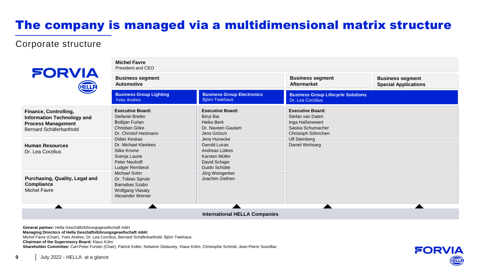# The company is managed via a multidimensional matrix structure

#### Corporate structure



| <b>FORVIA</b>                                                                                                                                | <b>Michel Favre</b><br>President and CEO                                                                                                                       |                                                                                                                        |                                                                                                                                                     |                                                        |  |
|----------------------------------------------------------------------------------------------------------------------------------------------|----------------------------------------------------------------------------------------------------------------------------------------------------------------|------------------------------------------------------------------------------------------------------------------------|-----------------------------------------------------------------------------------------------------------------------------------------------------|--------------------------------------------------------|--|
| HELLA                                                                                                                                        | <b>Business segment</b><br><b>Automotive</b>                                                                                                                   |                                                                                                                        | <b>Business segment</b><br>Aftermarket                                                                                                              | <b>Business segment</b><br><b>Special Applications</b> |  |
|                                                                                                                                              | <b>Business Group Lighting</b><br><b>Yves Andres</b>                                                                                                           | <b>Business Group Electronics</b><br><b>Björn Twiehaus</b>                                                             | <b>Business Group Lifecycle Solutions</b><br>Dr. Lea Corzilius                                                                                      |                                                        |  |
| Finance, Controlling,<br><b>Information Technology and</b><br><b>Process Management</b><br>Bernard Schäferbarthold<br><b>Human Resources</b> | <b>Executive Board:</b><br><b>Stefanie Brettin</b><br>Boštjan Furlan<br>Christian Göke<br>Dr. Christof Hartmann<br>Didier Keskas<br>Dr. Michael Kleinkes       | <b>Executive Board:</b><br>Binyi Bai<br>Heiko Berk<br>Dr. Naveen Gautam<br>Jens Grösch<br>Jens Hunecke<br>Gerold Lucas | <b>Executive Board:</b><br>Stefan van Dalen<br>Inga Haßenewert<br>Saskia Schumacher<br>Christoph Söhnchen<br><b>Ulf Steinberg</b><br>Daniel Wehsarg |                                                        |  |
| Dr. Lea Corzilius                                                                                                                            | Silke Krome<br>Svenja Laurie<br>Peter Neuhoff<br>Ludger Rembeck<br>Michael Sohn<br>Dr. Tobias Sprute<br>Barnabas Szabo<br>Wolfgang Vlasaty<br>Alexander Werner | Andreas Lütkes<br>Karsten Müller<br>David Schajer<br>Guido Schütte                                                     |                                                                                                                                                     |                                                        |  |
| Purchasing, Quality, Legal and<br>Compliance<br><b>Michel Favre</b>                                                                          |                                                                                                                                                                | Jörg Weisgerber<br>Joachim Ziethen                                                                                     |                                                                                                                                                     |                                                        |  |
|                                                                                                                                              |                                                                                                                                                                | <b>International HELLA Companies</b>                                                                                   |                                                                                                                                                     |                                                        |  |

**General partner:** Hella Geschäftsführungsgesellschaft mbH **Managing Directors of Hella Geschäftsführungsgesellschaft mbH:** Michel Favre (Chair), Yves Andres, Dr. Lea Corzilius, Bernard Schäferbarthold, Björn Twiehaus **Chairman of the Supervisory Board:** Klaus Kühn **Shareholder Committee:** Carl-Peter Forster (Chair), Patrick Koller, Nolwenn Delauney, Klaus Kühn, Christophe Schmitt, Jean-Pierre Sounillac



**9**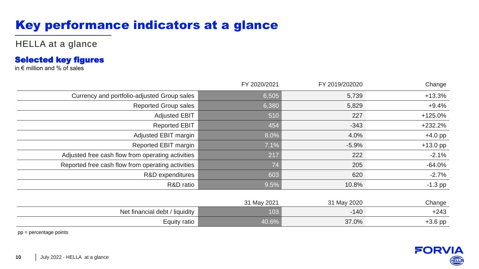# Key performance indicators at a glance

HELLA at a glance

#### Selected key figures

in  $\epsilon$  million and % of sales

|                                                   | FY 2020/2021 | FY 2019/202020 | Change     |
|---------------------------------------------------|--------------|----------------|------------|
| Currency and portfolio-adjusted Group sales       | 6,505        | 5,739          | $+13.3%$   |
| <b>Reported Group sales</b>                       | 6,380        | 5,829          | $+9.4%$    |
| <b>Adjusted EBIT</b>                              | 510          | 227            | $+125.0%$  |
| <b>Reported EBIT</b>                              | 454          | $-343$         | $+232.2%$  |
| Adjusted EBIT margin                              | 8.0%         | 4.0%           | $+4.0$ pp  |
| Reported EBIT margin                              | 7.1%         | $-5.9%$        | $+13.0$ pp |
| Adjusted free cash flow from operating activities | 217          | 222            | $-2.1%$    |
| Reported free cash flow from operating activities | 74           | 205            | $-64.0%$   |
| R&D expenditures                                  | 603          | 620            | $-2.7%$    |
| R&D ratio                                         | 9.5%         | 10.8%          | $-1.3$ pp  |
|                                                   |              |                |            |
|                                                   | 31 May 2021  | 31 May 2020    | Change     |
| Net financial debt / liquidity                    | 103          | $-140$         | $+243$     |
| Equity ratio                                      | 40.6%        | 37.0%          | $+3.6$ pp  |

pp = percentage points